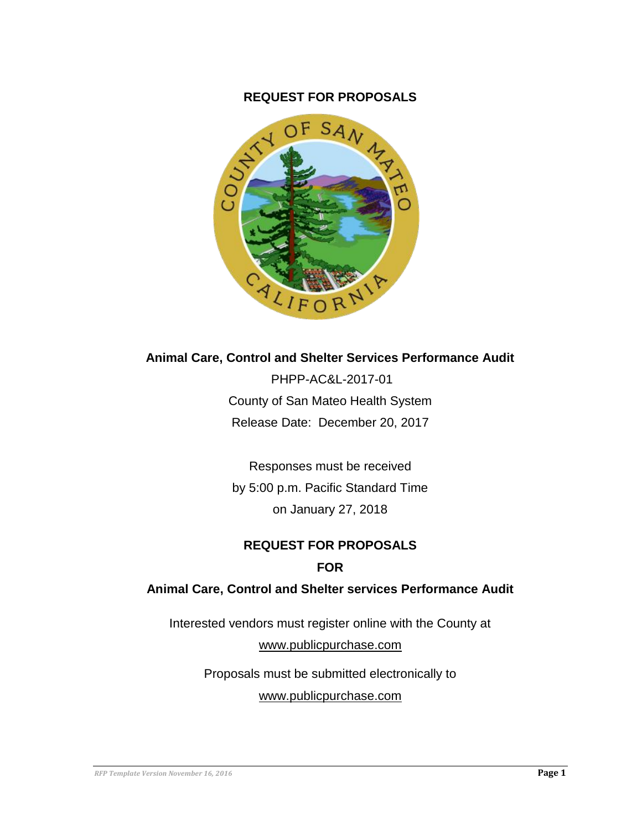#### **REQUEST FOR PROPOSALS**



#### **Animal Care, Control and Shelter Services Performance Audit**

PHPP-AC&L-2017-01 County of San Mateo Health System Release Date: December 20, 2017

Responses must be received by 5:00 p.m. Pacific Standard Time on January 27, 2018

## **REQUEST FOR PROPOSALS FOR**

#### **Animal Care, Control and Shelter services Performance Audit**

Interested vendors must register online with the County at

[www.publicpurchase.com](http://www.publicpurchase.com/)

Proposals must be submitted electronically to

[www.publicpurchase.com](http://www.publicpurchase.com/)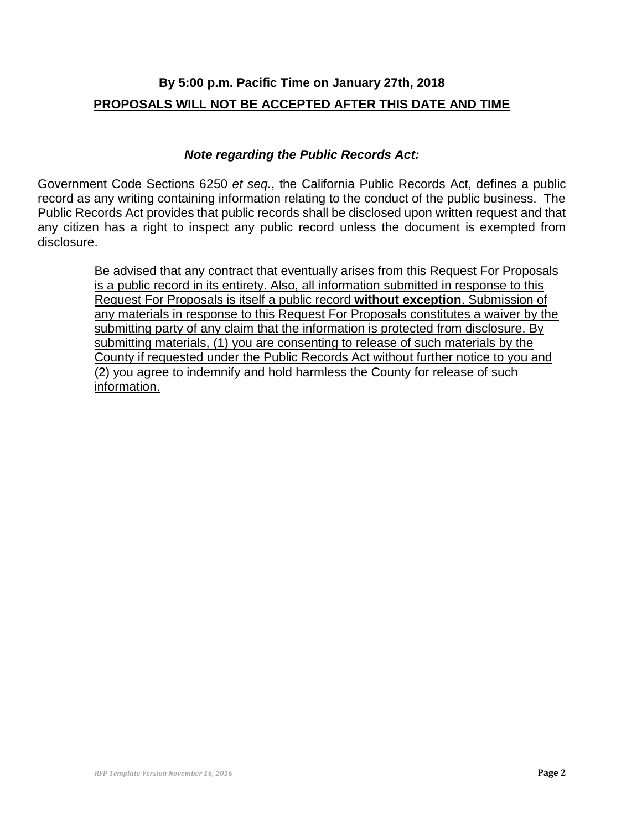# **By 5:00 p.m. Pacific Time on January 27th, 2018 PROPOSALS WILL NOT BE ACCEPTED AFTER THIS DATE AND TIME**

#### *Note regarding the Public Records Act:*

Government Code Sections 6250 *et seq.*, the California Public Records Act, defines a public record as any writing containing information relating to the conduct of the public business. The Public Records Act provides that public records shall be disclosed upon written request and that any citizen has a right to inspect any public record unless the document is exempted from disclosure.

> Be advised that any contract that eventually arises from this Request For Proposals is a public record in its entirety. Also, all information submitted in response to this Request For Proposals is itself a public record **without exception**. Submission of any materials in response to this Request For Proposals constitutes a waiver by the submitting party of any claim that the information is protected from disclosure. By submitting materials, (1) you are consenting to release of such materials by the County if requested under the Public Records Act without further notice to you and (2) you agree to indemnify and hold harmless the County for release of such information.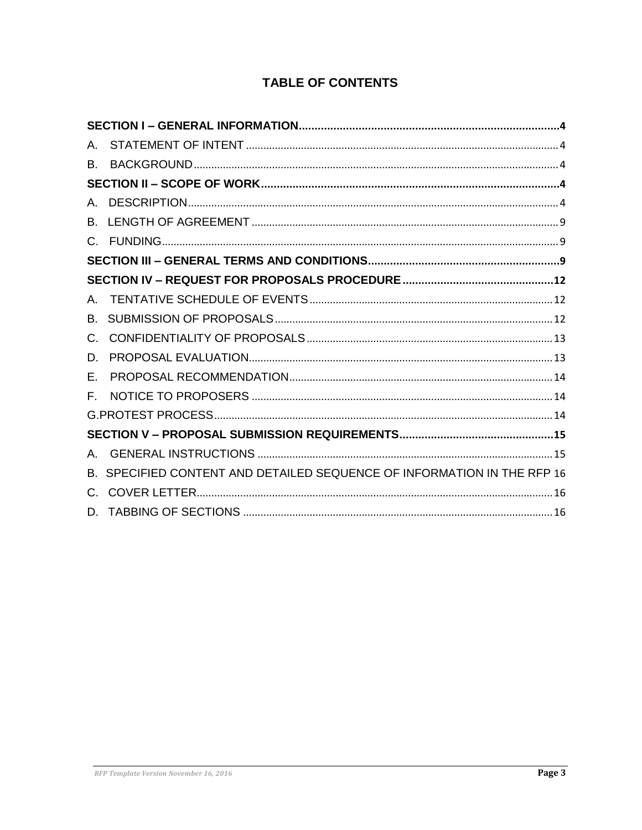# **TABLE OF CONTENTS**

| A. |                                                                         |  |  |
|----|-------------------------------------------------------------------------|--|--|
| В. |                                                                         |  |  |
|    |                                                                         |  |  |
|    |                                                                         |  |  |
|    |                                                                         |  |  |
|    |                                                                         |  |  |
|    |                                                                         |  |  |
|    |                                                                         |  |  |
|    |                                                                         |  |  |
| B. |                                                                         |  |  |
| C. |                                                                         |  |  |
| D. |                                                                         |  |  |
| Е. |                                                                         |  |  |
| Е. |                                                                         |  |  |
|    |                                                                         |  |  |
|    |                                                                         |  |  |
|    |                                                                         |  |  |
|    | B. SPECIFIED CONTENT AND DETAILED SEQUENCE OF INFORMATION IN THE RFP 16 |  |  |
|    |                                                                         |  |  |
|    |                                                                         |  |  |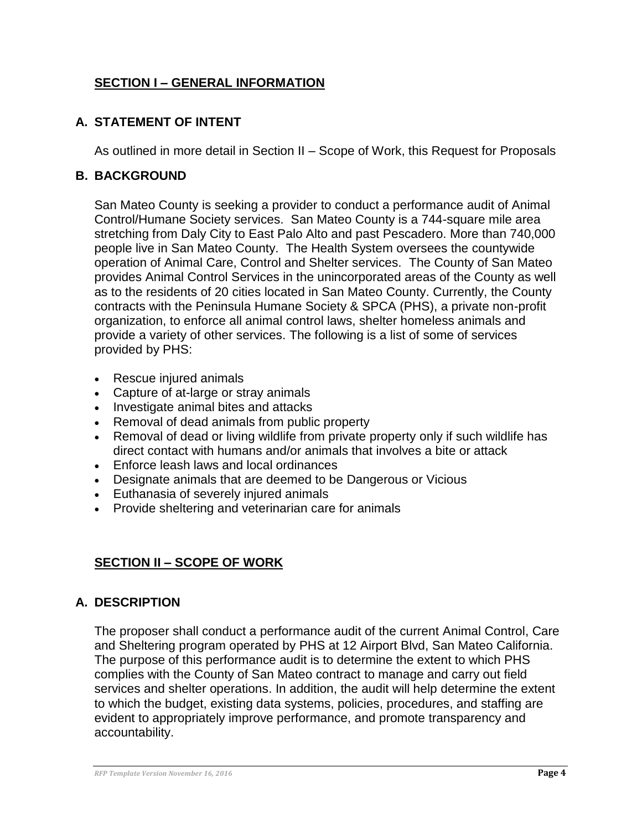## <span id="page-3-0"></span>**SECTION I – GENERAL INFORMATION**

## <span id="page-3-1"></span>**A. STATEMENT OF INTENT**

As outlined in more detail in Section II – Scope of Work, this Request for Proposals

#### <span id="page-3-2"></span>**B. BACKGROUND**

San Mateo County is seeking a provider to conduct a performance audit of Animal Control/Humane Society services. San Mateo County is a 744-square mile area stretching from Daly City to East Palo Alto and past Pescadero. More than 740,000 people live in San Mateo County. The Health System oversees the countywide operation of Animal Care, Control and Shelter services. The County of San Mateo provides Animal Control Services in the unincorporated areas of the County as well as to the residents of 20 cities located in San Mateo County. Currently, the County contracts with the Peninsula Humane Society & SPCA (PHS), a private non-profit organization, to enforce all animal control laws, shelter homeless animals and provide a variety of other services. The following is a list of some of services provided by PHS:

- Rescue injured animals
- Capture of at-large or stray animals
- Investigate animal bites and attacks
- Removal of dead animals from public property
- Removal of dead or living wildlife from private property only if such wildlife has direct contact with humans and/or animals that involves a bite or attack
- Enforce leash laws and local ordinances
- Designate animals that are deemed to be Dangerous or Vicious
- Euthanasia of severely injured animals
- Provide sheltering and veterinarian care for animals

## <span id="page-3-3"></span>**SECTION II – SCOPE OF WORK**

### <span id="page-3-4"></span>**A. DESCRIPTION**

The proposer shall conduct a performance audit of the current Animal Control, Care and Sheltering program operated by PHS at 12 Airport Blvd, San Mateo California. The purpose of this performance audit is to determine the extent to which PHS complies with the County of San Mateo contract to manage and carry out field services and shelter operations. In addition, the audit will help determine the extent to which the budget, existing data systems, policies, procedures, and staffing are evident to appropriately improve performance, and promote transparency and accountability.

*RFP Template Version November 16, 2016* **Page 4**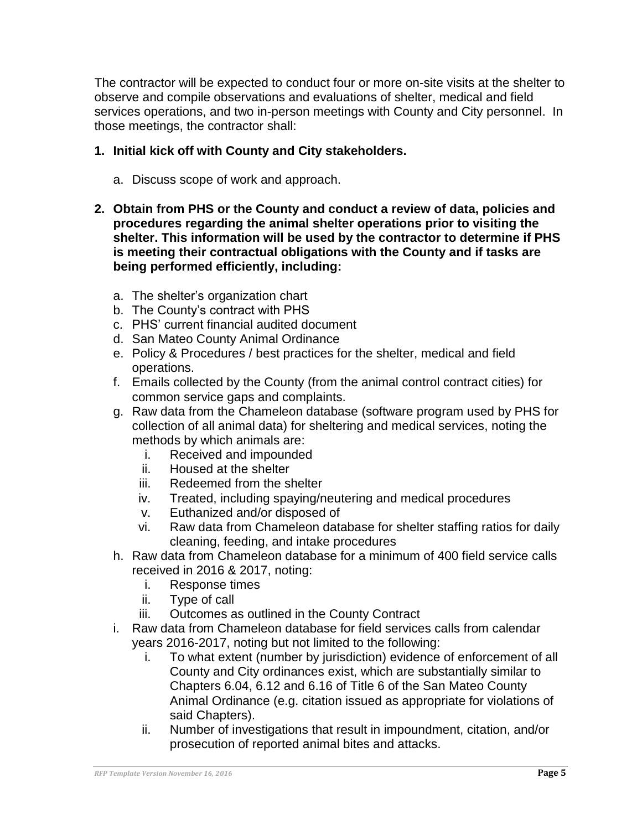The contractor will be expected to conduct four or more on-site visits at the shelter to observe and compile observations and evaluations of shelter, medical and field services operations, and two in-person meetings with County and City personnel. In those meetings, the contractor shall:

### **1. Initial kick off with County and City stakeholders.**

- a. Discuss scope of work and approach.
- **2. Obtain from PHS or the County and conduct a review of data, policies and procedures regarding the animal shelter operations prior to visiting the shelter. This information will be used by the contractor to determine if PHS is meeting their contractual obligations with the County and if tasks are being performed efficiently, including:**
	- a. The shelter's organization chart
	- b. The County's contract with PHS
	- c. PHS' current financial audited document
	- d. San Mateo County Animal Ordinance
	- e. Policy & Procedures / best practices for the shelter, medical and field operations.
	- f. Emails collected by the County (from the animal control contract cities) for common service gaps and complaints.
	- g. Raw data from the Chameleon database (software program used by PHS for collection of all animal data) for sheltering and medical services, noting the methods by which animals are:
		- i. Received and impounded
		- ii. Housed at the shelter
		- iii. Redeemed from the shelter
		- iv. Treated, including spaying/neutering and medical procedures
		- v. Euthanized and/or disposed of
		- vi. Raw data from Chameleon database for shelter staffing ratios for daily cleaning, feeding, and intake procedures
	- h. Raw data from Chameleon database for a minimum of 400 field service calls received in 2016 & 2017, noting:
		- i. Response times
		- ii. Type of call
		- iii. Outcomes as outlined in the County Contract
	- i. Raw data from Chameleon database for field services calls from calendar years 2016-2017, noting but not limited to the following:
		- i. To what extent (number by jurisdiction) evidence of enforcement of all County and City ordinances exist, which are substantially similar to Chapters 6.04, 6.12 and 6.16 of Title 6 of the San Mateo County Animal Ordinance (e.g. citation issued as appropriate for violations of said Chapters).
		- ii. Number of investigations that result in impoundment, citation, and/or prosecution of reported animal bites and attacks.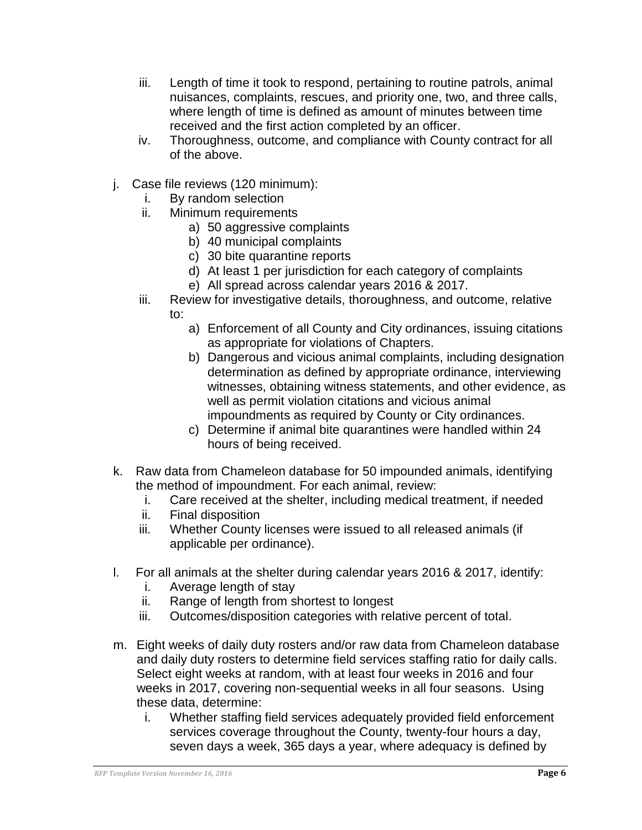- iii. Length of time it took to respond, pertaining to routine patrols, animal nuisances, complaints, rescues, and priority one, two, and three calls, where length of time is defined as amount of minutes between time received and the first action completed by an officer.
- iv. Thoroughness, outcome, and compliance with County contract for all of the above.
- j. Case file reviews (120 minimum):
	- i. By random selection
	- ii. Minimum requirements
		- a) 50 aggressive complaints
		- b) 40 municipal complaints
		- c) 30 bite quarantine reports
		- d) At least 1 per jurisdiction for each category of complaints
		- e) All spread across calendar years 2016 & 2017.
	- iii. Review for investigative details, thoroughness, and outcome, relative to:
		- a) Enforcement of all County and City ordinances, issuing citations as appropriate for violations of Chapters.
		- b) Dangerous and vicious animal complaints, including designation determination as defined by appropriate ordinance, interviewing witnesses, obtaining witness statements, and other evidence, as well as permit violation citations and vicious animal impoundments as required by County or City ordinances.
		- c) Determine if animal bite quarantines were handled within 24 hours of being received.
- k. Raw data from Chameleon database for 50 impounded animals, identifying the method of impoundment. For each animal, review:
	- i. Care received at the shelter, including medical treatment, if needed
	- ii. Final disposition
	- iii. Whether County licenses were issued to all released animals (if applicable per ordinance).
- l. For all animals at the shelter during calendar years 2016 & 2017, identify:
	- i. Average length of stay
	- ii. Range of length from shortest to longest
	- iii. Outcomes/disposition categories with relative percent of total.
- m. Eight weeks of daily duty rosters and/or raw data from Chameleon database and daily duty rosters to determine field services staffing ratio for daily calls. Select eight weeks at random, with at least four weeks in 2016 and four weeks in 2017, covering non-sequential weeks in all four seasons. Using these data, determine:
	- i. Whether staffing field services adequately provided field enforcement services coverage throughout the County, twenty-four hours a day, seven days a week, 365 days a year, where adequacy is defined by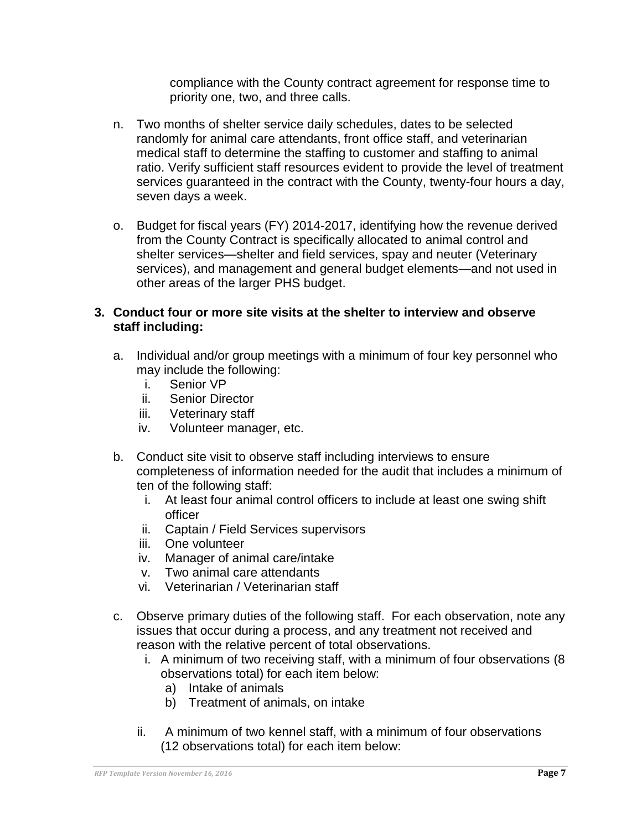compliance with the County contract agreement for response time to priority one, two, and three calls.

- n. Two months of shelter service daily schedules, dates to be selected randomly for animal care attendants, front office staff, and veterinarian medical staff to determine the staffing to customer and staffing to animal ratio. Verify sufficient staff resources evident to provide the level of treatment services guaranteed in the contract with the County, twenty-four hours a day, seven days a week.
- o. Budget for fiscal years (FY) 2014-2017, identifying how the revenue derived from the County Contract is specifically allocated to animal control and shelter services—shelter and field services, spay and neuter (Veterinary services), and management and general budget elements—and not used in other areas of the larger PHS budget.

#### **3. Conduct four or more site visits at the shelter to interview and observe staff including:**

- a. Individual and/or group meetings with a minimum of four key personnel who may include the following:
	- i. Senior VP
	- ii. Senior Director
	- iii. Veterinary staff
	- iv. Volunteer manager, etc.
- b. Conduct site visit to observe staff including interviews to ensure completeness of information needed for the audit that includes a minimum of ten of the following staff:
	- i. At least four animal control officers to include at least one swing shift officer
	- ii. Captain / Field Services supervisors
	- iii. One volunteer
	- iv. Manager of animal care/intake
	- v. Two animal care attendants
	- vi. Veterinarian / Veterinarian staff
- c. Observe primary duties of the following staff. For each observation, note any issues that occur during a process, and any treatment not received and reason with the relative percent of total observations.
	- i. A minimum of two receiving staff, with a minimum of four observations (8 observations total) for each item below:
		- a) Intake of animals
		- b) Treatment of animals, on intake
	- ii. A minimum of two kennel staff, with a minimum of four observations (12 observations total) for each item below: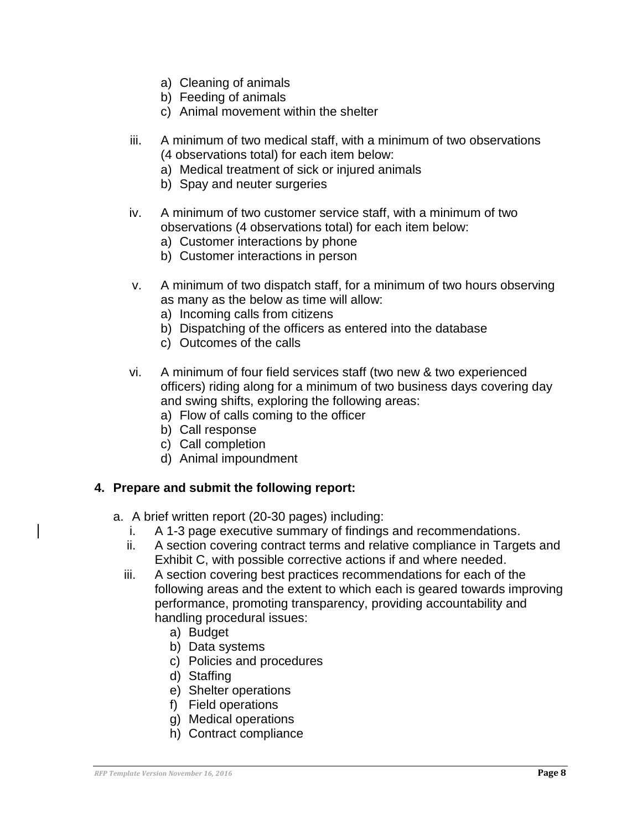- a) Cleaning of animals
- b) Feeding of animals
- c) Animal movement within the shelter
- iii. A minimum of two medical staff, with a minimum of two observations (4 observations total) for each item below:
	- a) Medical treatment of sick or injured animals
	- b) Spay and neuter surgeries
- iv. A minimum of two customer service staff, with a minimum of two observations (4 observations total) for each item below:
	- a) Customer interactions by phone
	- b) Customer interactions in person
- v. A minimum of two dispatch staff, for a minimum of two hours observing as many as the below as time will allow:
	- a) Incoming calls from citizens
	- b) Dispatching of the officers as entered into the database
	- c) Outcomes of the calls
- vi. A minimum of four field services staff (two new & two experienced officers) riding along for a minimum of two business days covering day and swing shifts, exploring the following areas:
	- a) Flow of calls coming to the officer
	- b) Call response
	- c) Call completion
	- d) Animal impoundment

#### **4. Prepare and submit the following report:**

- a. A brief written report (20-30 pages) including:
	- i. A 1-3 page executive summary of findings and recommendations.
	- ii. A section covering contract terms and relative compliance in Targets and Exhibit C, with possible corrective actions if and where needed.
	- iii. A section covering best practices recommendations for each of the following areas and the extent to which each is geared towards improving performance, promoting transparency, providing accountability and handling procedural issues:
		- a) Budget
		- b) Data systems
		- c) Policies and procedures
		- d) Staffing
		- e) Shelter operations
		- f) Field operations
		- g) Medical operations
		- h) Contract compliance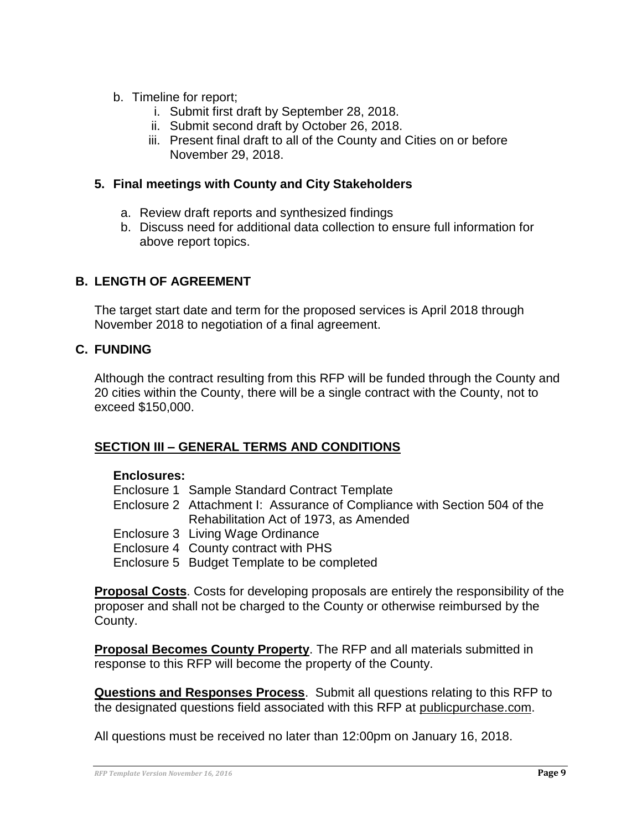- b. Timeline for report;
	- i. Submit first draft by September 28, 2018.
	- ii. Submit second draft by October 26, 2018.
	- iii. Present final draft to all of the County and Cities on or before November 29, 2018.

#### **5. Final meetings with County and City Stakeholders**

- a. Review draft reports and synthesized findings
- b. Discuss need for additional data collection to ensure full information for above report topics.

### <span id="page-8-0"></span>**B. LENGTH OF AGREEMENT**

The target start date and term for the proposed services is April 2018 through November 2018 to negotiation of a final agreement.

#### <span id="page-8-1"></span>**C. FUNDING**

Although the contract resulting from this RFP will be funded through the County and 20 cities within the County, there will be a single contract with the County, not to exceed \$150,000.

### <span id="page-8-2"></span>**SECTION III – GENERAL TERMS AND CONDITIONS**

#### **Enclosures:**

- Enclosure 1 Sample Standard Contract Template
- Enclosure 2 Attachment I: Assurance of Compliance with Section 504 of the Rehabilitation Act of 1973, as Amended
- Enclosure 3 Living Wage Ordinance
- Enclosure 4 County contract with PHS
- Enclosure 5 Budget Template to be completed

**Proposal Costs**. Costs for developing proposals are entirely the responsibility of the proposer and shall not be charged to the County or otherwise reimbursed by the County.

**Proposal Becomes County Property**. The RFP and all materials submitted in response to this RFP will become the property of the County.

**Questions and Responses Process**. Submit all questions relating to this RFP to the designated questions field associated with this RFP at publicpurchase.com.

All questions must be received no later than 12:00pm on January 16, 2018.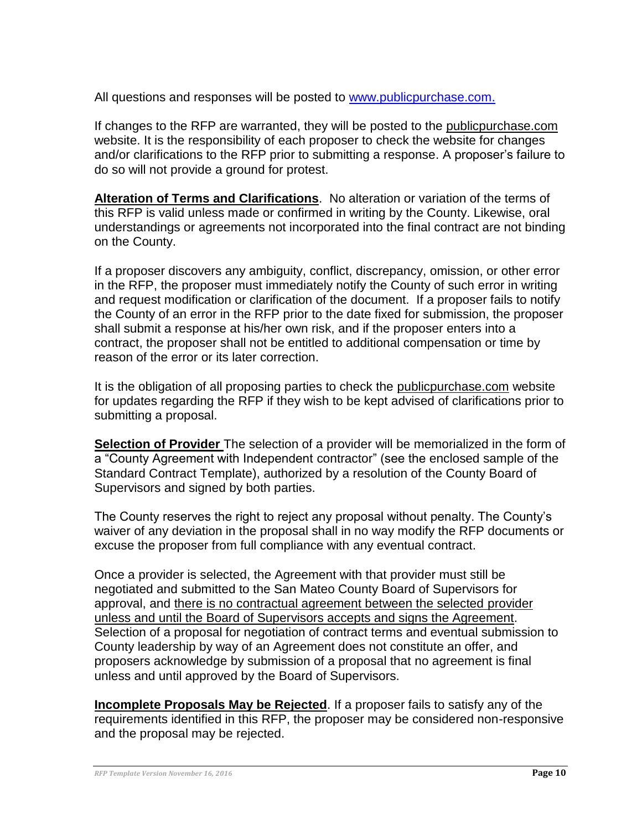All questions and responses will be posted to [www.publicpurchase.com.](http://www.publicpurchase.com/)

If changes to the RFP are warranted, they will be posted to the publicpurchase.com website. It is the responsibility of each proposer to check the website for changes and/or clarifications to the RFP prior to submitting a response. A proposer's failure to do so will not provide a ground for protest.

**Alteration of Terms and Clarifications**. No alteration or variation of the terms of this RFP is valid unless made or confirmed in writing by the County. Likewise, oral understandings or agreements not incorporated into the final contract are not binding on the County.

If a proposer discovers any ambiguity, conflict, discrepancy, omission, or other error in the RFP, the proposer must immediately notify the County of such error in writing and request modification or clarification of the document. If a proposer fails to notify the County of an error in the RFP prior to the date fixed for submission, the proposer shall submit a response at his/her own risk, and if the proposer enters into a contract, the proposer shall not be entitled to additional compensation or time by reason of the error or its later correction.

It is the obligation of all proposing parties to check the publicpurchase.com website for updates regarding the RFP if they wish to be kept advised of clarifications prior to submitting a proposal.

**Selection of Provider** The selection of a provider will be memorialized in the form of a "County Agreement with Independent contractor" (see the enclosed sample of the Standard Contract Template), authorized by a resolution of the County Board of Supervisors and signed by both parties.

The County reserves the right to reject any proposal without penalty. The County's waiver of any deviation in the proposal shall in no way modify the RFP documents or excuse the proposer from full compliance with any eventual contract.

Once a provider is selected, the Agreement with that provider must still be negotiated and submitted to the San Mateo County Board of Supervisors for approval, and there is no contractual agreement between the selected provider unless and until the Board of Supervisors accepts and signs the Agreement. Selection of a proposal for negotiation of contract terms and eventual submission to County leadership by way of an Agreement does not constitute an offer, and proposers acknowledge by submission of a proposal that no agreement is final unless and until approved by the Board of Supervisors.

**Incomplete Proposals May be Rejected**. If a proposer fails to satisfy any of the requirements identified in this RFP, the proposer may be considered non-responsive and the proposal may be rejected.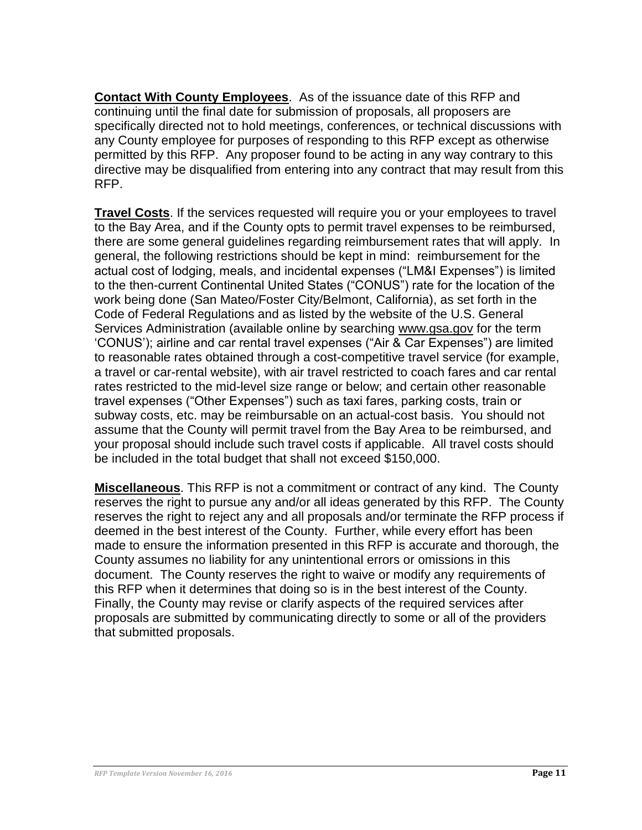**Contact With County Employees**. As of the issuance date of this RFP and continuing until the final date for submission of proposals, all proposers are specifically directed not to hold meetings, conferences, or technical discussions with any County employee for purposes of responding to this RFP except as otherwise permitted by this RFP. Any proposer found to be acting in any way contrary to this directive may be disqualified from entering into any contract that may result from this RFP.

**Travel Costs**. If the services requested will require you or your employees to travel to the Bay Area, and if the County opts to permit travel expenses to be reimbursed, there are some general guidelines regarding reimbursement rates that will apply. In general, the following restrictions should be kept in mind: reimbursement for the actual cost of lodging, meals, and incidental expenses ("LM&I Expenses") is limited to the then-current Continental United States ("CONUS") rate for the location of the work being done (San Mateo/Foster City/Belmont, California), as set forth in the Code of Federal Regulations and as listed by the website of the U.S. General Services Administration (available online by searching www.gsa.gov for the term 'CONUS'); airline and car rental travel expenses ("Air & Car Expenses") are limited to reasonable rates obtained through a cost-competitive travel service (for example, a travel or car-rental website), with air travel restricted to coach fares and car rental rates restricted to the mid-level size range or below; and certain other reasonable travel expenses ("Other Expenses") such as taxi fares, parking costs, train or subway costs, etc. may be reimbursable on an actual-cost basis. You should not assume that the County will permit travel from the Bay Area to be reimbursed, and your proposal should include such travel costs if applicable. All travel costs should be included in the total budget that shall not exceed \$150,000.

**Miscellaneous**. This RFP is not a commitment or contract of any kind. The County reserves the right to pursue any and/or all ideas generated by this RFP. The County reserves the right to reject any and all proposals and/or terminate the RFP process if deemed in the best interest of the County. Further, while every effort has been made to ensure the information presented in this RFP is accurate and thorough, the County assumes no liability for any unintentional errors or omissions in this document. The County reserves the right to waive or modify any requirements of this RFP when it determines that doing so is in the best interest of the County. Finally, the County may revise or clarify aspects of the required services after proposals are submitted by communicating directly to some or all of the providers that submitted proposals.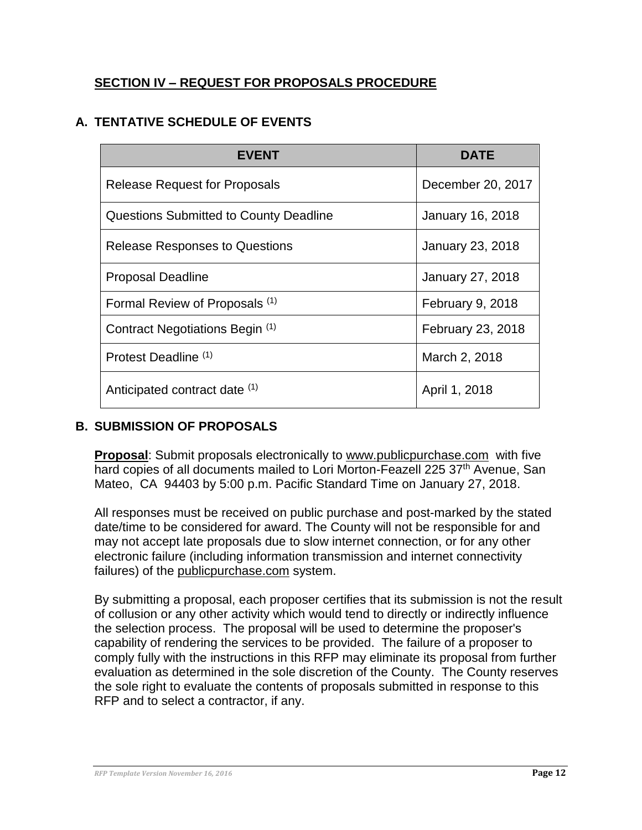## <span id="page-11-0"></span>**SECTION IV – REQUEST FOR PROPOSALS PROCEDURE**

## <span id="page-11-1"></span>**A. TENTATIVE SCHEDULE OF EVENTS**

| <b>EVENT</b>                                  | <b>DATE</b>       |
|-----------------------------------------------|-------------------|
| <b>Release Request for Proposals</b>          | December 20, 2017 |
| <b>Questions Submitted to County Deadline</b> | January 16, 2018  |
| <b>Release Responses to Questions</b>         | January 23, 2018  |
| <b>Proposal Deadline</b>                      | January 27, 2018  |
| Formal Review of Proposals <sup>(1)</sup>     | February 9, 2018  |
| Contract Negotiations Begin (1)               | February 23, 2018 |
| Protest Deadline (1)                          | March 2, 2018     |
| Anticipated contract date (1)                 | April 1, 2018     |

### <span id="page-11-2"></span>**B. SUBMISSION OF PROPOSALS**

**Proposal**: Submit proposals electronically to [www.publicpurchase.com](http://www.publicpurchase.com/) with five hard copies of all documents mailed to Lori Morton-Feazell 225 37<sup>th</sup> Avenue, San Mateo, CA 94403 by 5:00 p.m. Pacific Standard Time on January 27, 2018.

All responses must be received on public purchase and post-marked by the stated date/time to be considered for award. The County will not be responsible for and may not accept late proposals due to slow internet connection, or for any other electronic failure (including information transmission and internet connectivity failures) of the publicpurchase.com system.

By submitting a proposal, each proposer certifies that its submission is not the result of collusion or any other activity which would tend to directly or indirectly influence the selection process. The proposal will be used to determine the proposer's capability of rendering the services to be provided. The failure of a proposer to comply fully with the instructions in this RFP may eliminate its proposal from further evaluation as determined in the sole discretion of the County. The County reserves the sole right to evaluate the contents of proposals submitted in response to this RFP and to select a contractor, if any.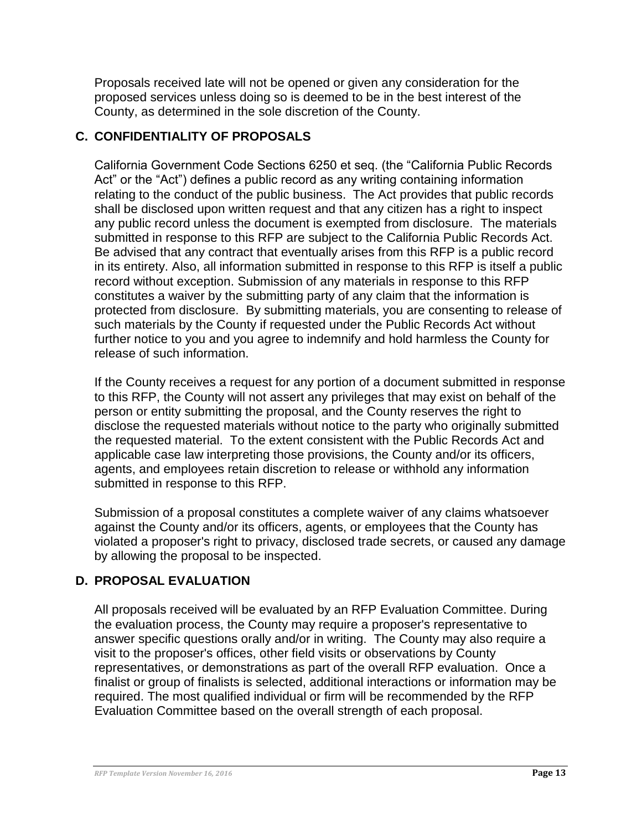Proposals received late will not be opened or given any consideration for the proposed services unless doing so is deemed to be in the best interest of the County, as determined in the sole discretion of the County.

## <span id="page-12-0"></span>**C. CONFIDENTIALITY OF PROPOSALS**

California Government Code Sections 6250 et seq. (the "California Public Records Act" or the "Act") defines a public record as any writing containing information relating to the conduct of the public business. The Act provides that public records shall be disclosed upon written request and that any citizen has a right to inspect any public record unless the document is exempted from disclosure. The materials submitted in response to this RFP are subject to the California Public Records Act. Be advised that any contract that eventually arises from this RFP is a public record in its entirety. Also, all information submitted in response to this RFP is itself a public record without exception. Submission of any materials in response to this RFP constitutes a waiver by the submitting party of any claim that the information is protected from disclosure. By submitting materials, you are consenting to release of such materials by the County if requested under the Public Records Act without further notice to you and you agree to indemnify and hold harmless the County for release of such information.

If the County receives a request for any portion of a document submitted in response to this RFP, the County will not assert any privileges that may exist on behalf of the person or entity submitting the proposal, and the County reserves the right to disclose the requested materials without notice to the party who originally submitted the requested material. To the extent consistent with the Public Records Act and applicable case law interpreting those provisions, the County and/or its officers, agents, and employees retain discretion to release or withhold any information submitted in response to this RFP.

Submission of a proposal constitutes a complete waiver of any claims whatsoever against the County and/or its officers, agents, or employees that the County has violated a proposer's right to privacy, disclosed trade secrets, or caused any damage by allowing the proposal to be inspected.

### <span id="page-12-1"></span>**D. PROPOSAL EVALUATION**

All proposals received will be evaluated by an RFP Evaluation Committee. During the evaluation process, the County may require a proposer's representative to answer specific questions orally and/or in writing. The County may also require a visit to the proposer's offices, other field visits or observations by County representatives, or demonstrations as part of the overall RFP evaluation. Once a finalist or group of finalists is selected, additional interactions or information may be required. The most qualified individual or firm will be recommended by the RFP Evaluation Committee based on the overall strength of each proposal.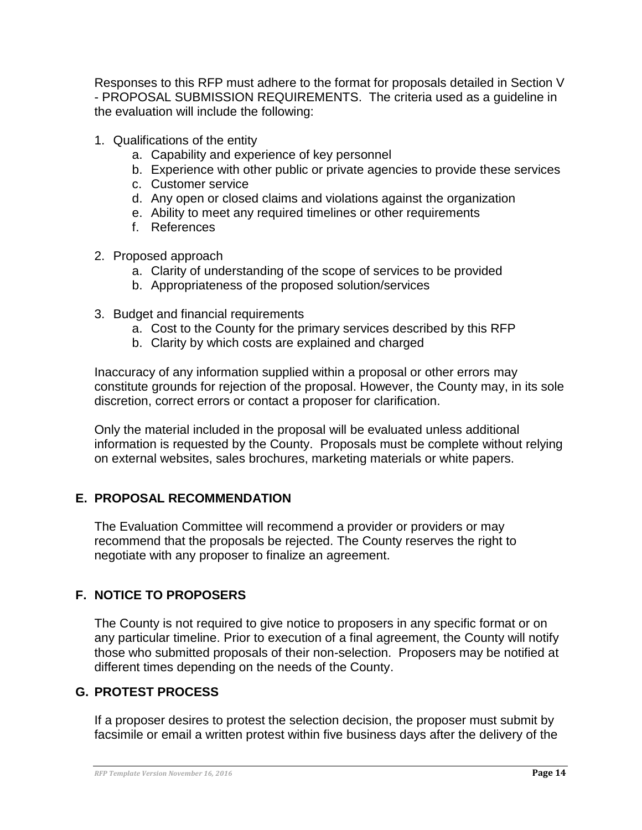Responses to this RFP must adhere to the format for proposals detailed in Section V - PROPOSAL SUBMISSION REQUIREMENTS. The criteria used as a guideline in the evaluation will include the following:

- 1. Qualifications of the entity
	- a. Capability and experience of key personnel
	- b. Experience with other public or private agencies to provide these services
	- c. Customer service
	- d. Any open or closed claims and violations against the organization
	- e. Ability to meet any required timelines or other requirements
	- f. References
- 2. Proposed approach
	- a. Clarity of understanding of the scope of services to be provided
	- b. Appropriateness of the proposed solution/services
- 3. Budget and financial requirements
	- a. Cost to the County for the primary services described by this RFP
	- b. Clarity by which costs are explained and charged

Inaccuracy of any information supplied within a proposal or other errors may constitute grounds for rejection of the proposal. However, the County may, in its sole discretion, correct errors or contact a proposer for clarification.

Only the material included in the proposal will be evaluated unless additional information is requested by the County. Proposals must be complete without relying on external websites, sales brochures, marketing materials or white papers.

### <span id="page-13-0"></span>**E. PROPOSAL RECOMMENDATION**

The Evaluation Committee will recommend a provider or providers or may recommend that the proposals be rejected. The County reserves the right to negotiate with any proposer to finalize an agreement.

## <span id="page-13-1"></span>**F. NOTICE TO PROPOSERS**

The County is not required to give notice to proposers in any specific format or on any particular timeline. Prior to execution of a final agreement, the County will notify those who submitted proposals of their non-selection. Proposers may be notified at different times depending on the needs of the County.

### <span id="page-13-2"></span>**G. PROTEST PROCESS**

If a proposer desires to protest the selection decision, the proposer must submit by facsimile or email a written protest within five business days after the delivery of the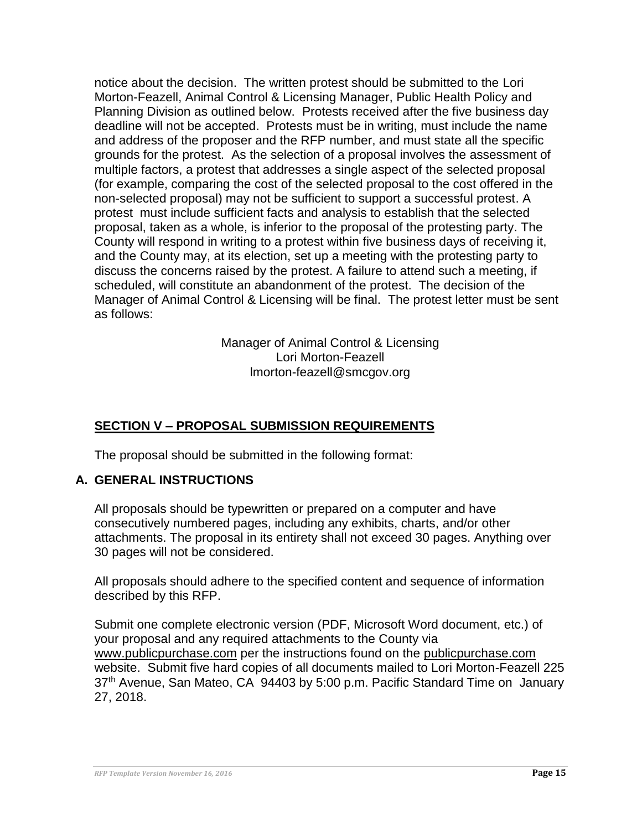notice about the decision. The written protest should be submitted to the Lori Morton-Feazell, Animal Control & Licensing Manager, Public Health Policy and Planning Division as outlined below. Protests received after the five business day deadline will not be accepted. Protests must be in writing, must include the name and address of the proposer and the RFP number, and must state all the specific grounds for the protest. As the selection of a proposal involves the assessment of multiple factors, a protest that addresses a single aspect of the selected proposal (for example, comparing the cost of the selected proposal to the cost offered in the non-selected proposal) may not be sufficient to support a successful protest. A protest must include sufficient facts and analysis to establish that the selected proposal, taken as a whole, is inferior to the proposal of the protesting party. The County will respond in writing to a protest within five business days of receiving it, and the County may, at its election, set up a meeting with the protesting party to discuss the concerns raised by the protest. A failure to attend such a meeting, if scheduled, will constitute an abandonment of the protest. The decision of the Manager of Animal Control & Licensing will be final. The protest letter must be sent as follows:

> Manager of Animal Control & Licensing Lori Morton-Feazell lmorton-feazell@smcgov.org

## <span id="page-14-0"></span>**SECTION V – PROPOSAL SUBMISSION REQUIREMENTS**

The proposal should be submitted in the following format:

## <span id="page-14-1"></span>**A. GENERAL INSTRUCTIONS**

All proposals should be typewritten or prepared on a computer and have consecutively numbered pages, including any exhibits, charts, and/or other attachments. The proposal in its entirety shall not exceed 30 pages. Anything over 30 pages will not be considered.

All proposals should adhere to the specified content and sequence of information described by this RFP.

Submit one complete electronic version (PDF, Microsoft Word document, etc.) of your proposal and any required attachments to the County via [www.publicpurchase.com](http://www.publicpurchase.com/) per the instructions found on the publicpurchase.com website. Submit five hard copies of all documents mailed to Lori Morton-Feazell 225 37<sup>th</sup> Avenue, San Mateo, CA 94403 by 5:00 p.m. Pacific Standard Time on January 27, 2018.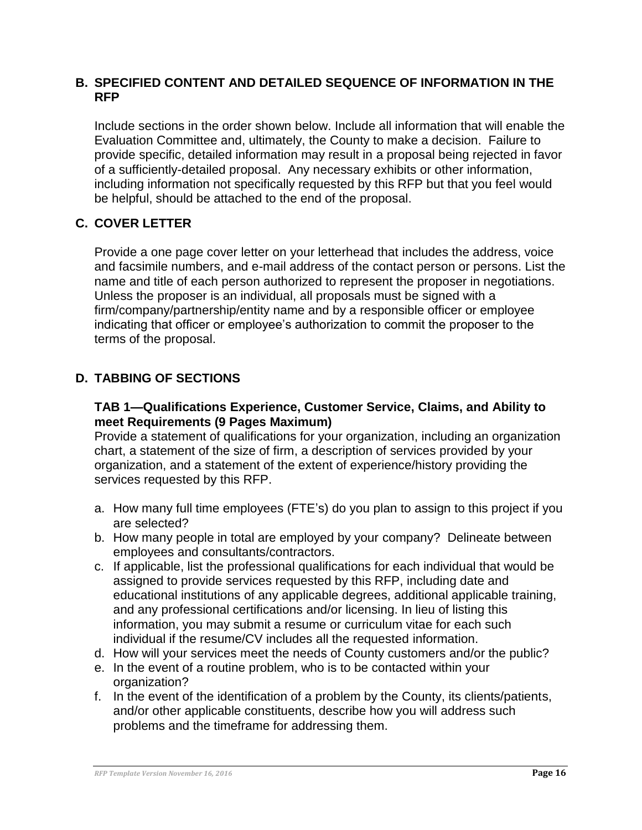#### <span id="page-15-0"></span>**B. SPECIFIED CONTENT AND DETAILED SEQUENCE OF INFORMATION IN THE RFP**

Include sections in the order shown below. Include all information that will enable the Evaluation Committee and, ultimately, the County to make a decision. Failure to provide specific, detailed information may result in a proposal being rejected in favor of a sufficiently-detailed proposal. Any necessary exhibits or other information, including information not specifically requested by this RFP but that you feel would be helpful, should be attached to the end of the proposal.

## <span id="page-15-1"></span>**C. COVER LETTER**

Provide a one page cover letter on your letterhead that includes the address, voice and facsimile numbers, and e-mail address of the contact person or persons. List the name and title of each person authorized to represent the proposer in negotiations. Unless the proposer is an individual, all proposals must be signed with a firm/company/partnership/entity name and by a responsible officer or employee indicating that officer or employee's authorization to commit the proposer to the terms of the proposal.

## <span id="page-15-2"></span>**D. TABBING OF SECTIONS**

#### **TAB 1—Qualifications Experience, Customer Service, Claims, and Ability to meet Requirements (9 Pages Maximum)**

Provide a statement of qualifications for your organization, including an organization chart, a statement of the size of firm, a description of services provided by your organization, and a statement of the extent of experience/history providing the services requested by this RFP.

- a. How many full time employees (FTE's) do you plan to assign to this project if you are selected?
- b. How many people in total are employed by your company? Delineate between employees and consultants/contractors.
- c. If applicable, list the professional qualifications for each individual that would be assigned to provide services requested by this RFP, including date and educational institutions of any applicable degrees, additional applicable training, and any professional certifications and/or licensing. In lieu of listing this information, you may submit a resume or curriculum vitae for each such individual if the resume/CV includes all the requested information.
- d. How will your services meet the needs of County customers and/or the public?
- e. In the event of a routine problem, who is to be contacted within your organization?
- f. In the event of the identification of a problem by the County, its clients/patients, and/or other applicable constituents, describe how you will address such problems and the timeframe for addressing them.

*RFP Template Version November 16, 2016* **Page 16**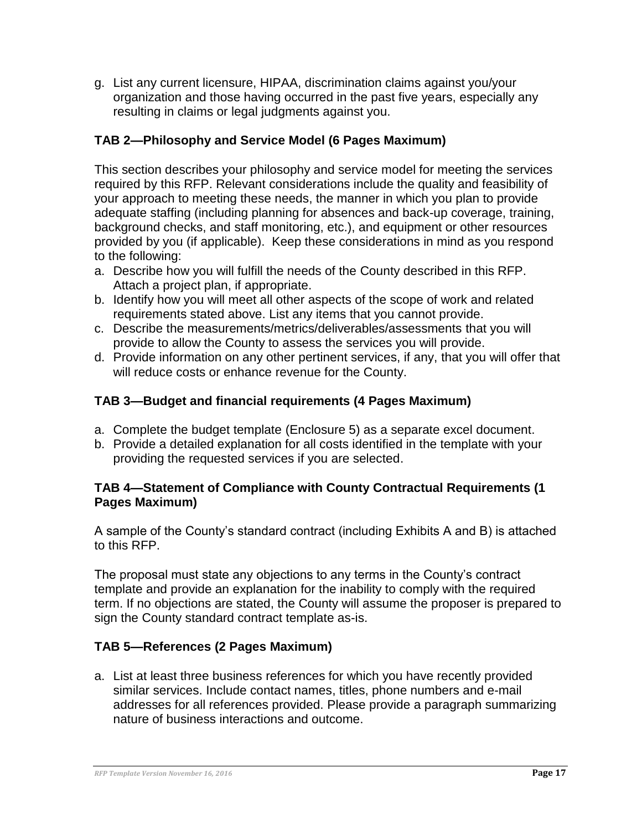g. List any current licensure, HIPAA, discrimination claims against you/your organization and those having occurred in the past five years, especially any resulting in claims or legal judgments against you.

## **TAB 2—Philosophy and Service Model (6 Pages Maximum)**

This section describes your philosophy and service model for meeting the services required by this RFP. Relevant considerations include the quality and feasibility of your approach to meeting these needs, the manner in which you plan to provide adequate staffing (including planning for absences and back-up coverage, training, background checks, and staff monitoring, etc.), and equipment or other resources provided by you (if applicable). Keep these considerations in mind as you respond to the following:

- a. Describe how you will fulfill the needs of the County described in this RFP. Attach a project plan, if appropriate.
- b. Identify how you will meet all other aspects of the scope of work and related requirements stated above. List any items that you cannot provide.
- c. Describe the measurements/metrics/deliverables/assessments that you will provide to allow the County to assess the services you will provide.
- d. Provide information on any other pertinent services, if any, that you will offer that will reduce costs or enhance revenue for the County.

## **TAB 3—Budget and financial requirements (4 Pages Maximum)**

- a. Complete the budget template (Enclosure 5) as a separate excel document.
- b. Provide a detailed explanation for all costs identified in the template with your providing the requested services if you are selected.

## **TAB 4—Statement of Compliance with County Contractual Requirements (1 Pages Maximum)**

A sample of the County's standard contract (including Exhibits A and B) is attached to this RFP.

The proposal must state any objections to any terms in the County's contract template and provide an explanation for the inability to comply with the required term. If no objections are stated, the County will assume the proposer is prepared to sign the County standard contract template as-is.

## **TAB 5—References (2 Pages Maximum)**

a. List at least three business references for which you have recently provided similar services. Include contact names, titles, phone numbers and e-mail addresses for all references provided. Please provide a paragraph summarizing nature of business interactions and outcome.

*RFP Template Version November 16, 2016* **Page 17**